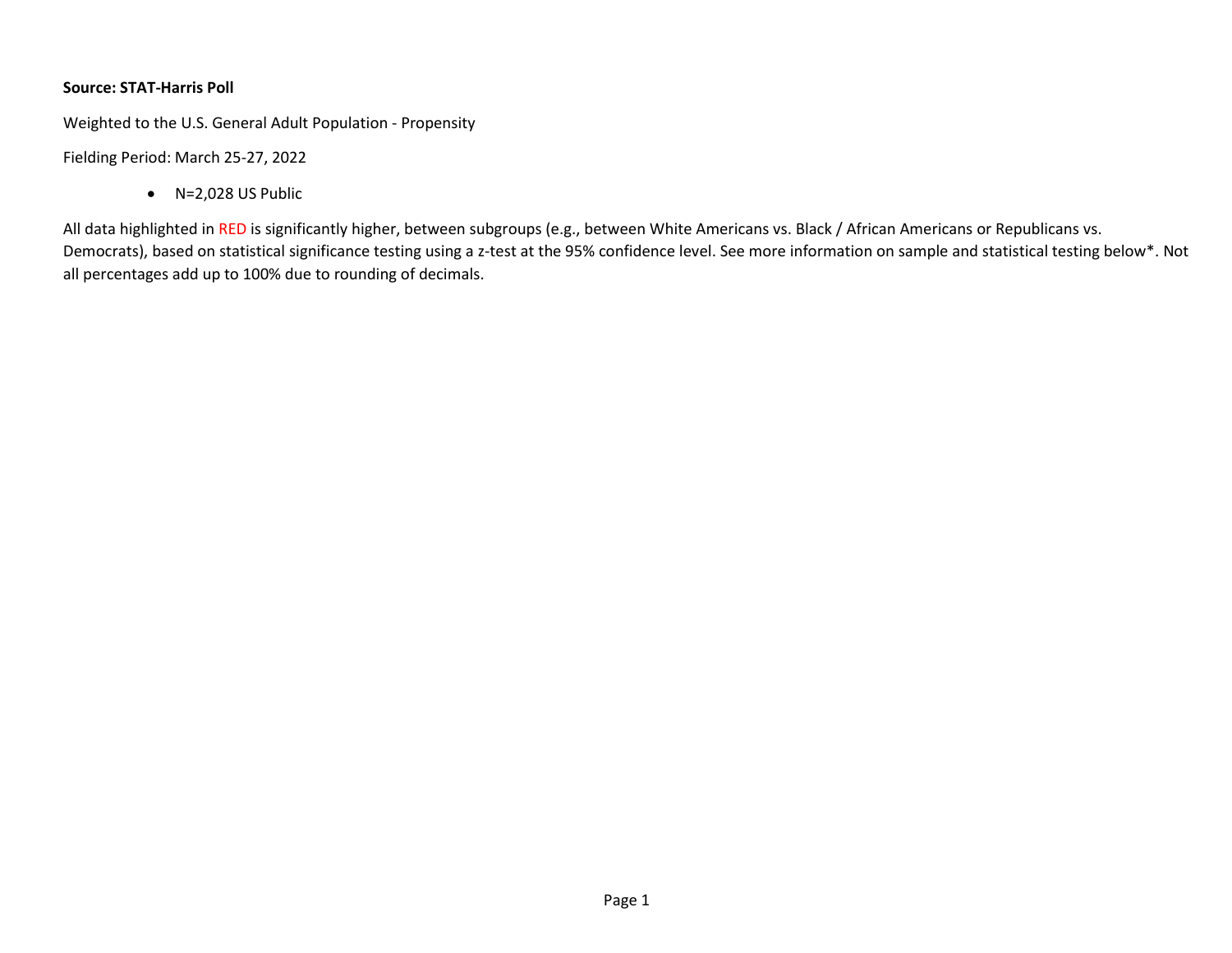## **Source: STAT-Harris Poll**

Weighted to the U.S. General Adult Population - Propensity

Fielding Period: March 25-27, 2022

• N=2,028 US Public

All data highlighted in RED is significantly higher, between subgroups (e.g., between White Americans vs. Black / African Americans or Republicans vs. Democrats), based on statistical significance testing using a z-test at the 95% confidence level. See more information on sample and statistical testing below\*. Not all percentages add up to 100% due to rounding of decimals.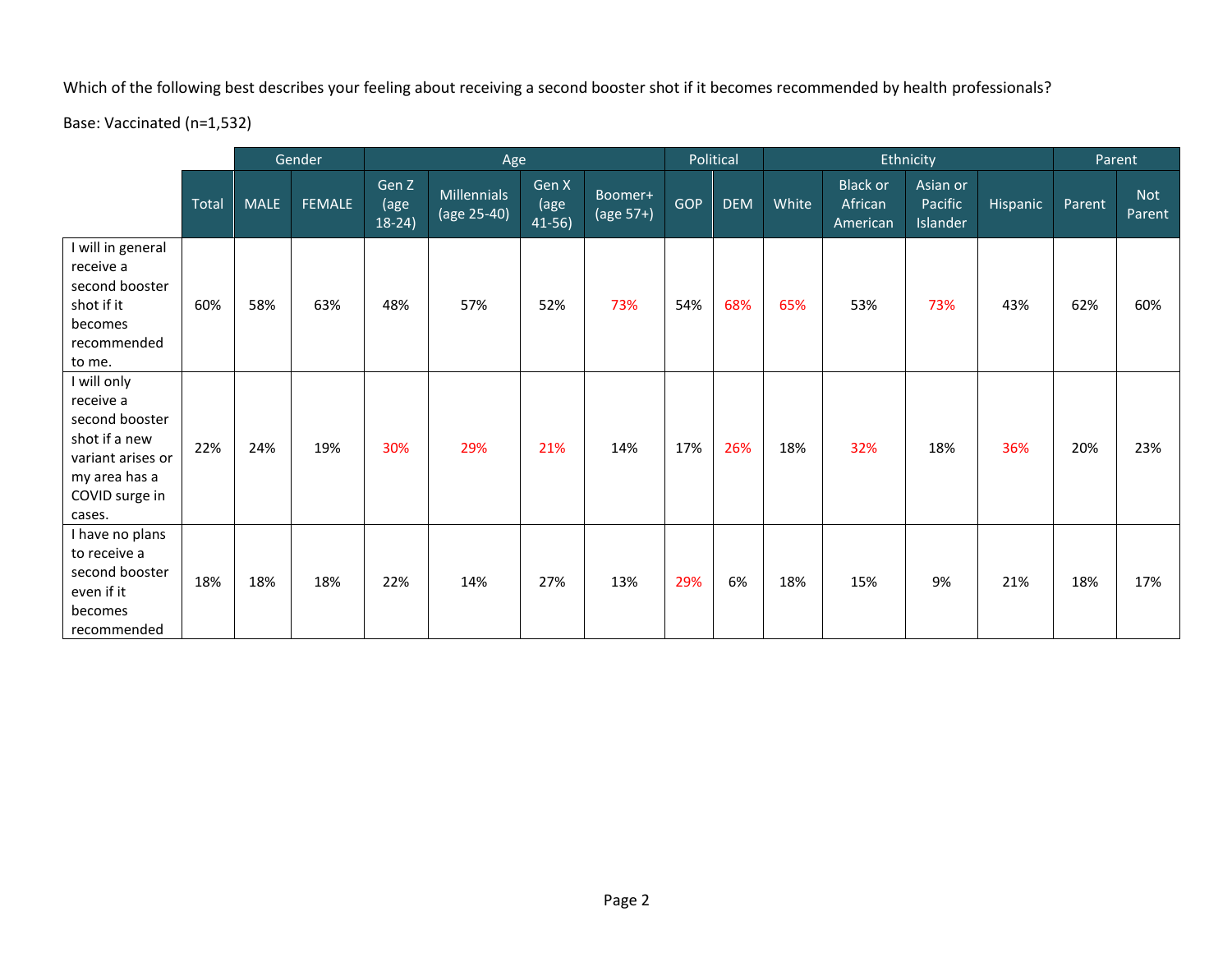Which of the following best describes your feeling about receiving a second booster shot if it becomes recommended by health professionals?

Base: Vaccinated (n=1,532)

|                                                                                                                             |       | Gender      |        | Age                       |                                            |                          |                               | Political |            |       | Ethnicity                              | Parent                          |          |        |                      |
|-----------------------------------------------------------------------------------------------------------------------------|-------|-------------|--------|---------------------------|--------------------------------------------|--------------------------|-------------------------------|-----------|------------|-------|----------------------------------------|---------------------------------|----------|--------|----------------------|
|                                                                                                                             | Total | <b>MALE</b> | FEMALE | Gen Z<br>(age<br>$18-24)$ | <b>Millennials</b><br>$\sqrt{(age 25-40)}$ | Gen X<br>(age<br>$41-56$ | Boomer+<br>$\sqrt{(age 57+)}$ | GOP       | <b>DEM</b> | White | <b>Black or</b><br>African<br>American | Asian or<br>Pacific<br>Islander | Hispanic | Parent | <b>Not</b><br>Parent |
| I will in general<br>receive a<br>second booster<br>shot if it<br>becomes<br>recommended<br>to me.                          | 60%   | 58%         | 63%    | 48%                       | 57%                                        | 52%                      | 73%                           | 54%       | 68%        | 65%   | 53%                                    | 73%                             | 43%      | 62%    | 60%                  |
| will only<br>receive a<br>second booster<br>shot if a new<br>variant arises or<br>my area has a<br>COVID surge in<br>cases. | 22%   | 24%         | 19%    | 30%                       | 29%                                        | 21%                      | 14%                           | 17%       | 26%        | 18%   | 32%                                    | 18%                             | 36%      | 20%    | 23%                  |
| I have no plans<br>to receive a<br>second booster<br>even if it<br>becomes<br>recommended                                   | 18%   | 18%         | 18%    | 22%                       | 14%                                        | 27%                      | 13%                           | 29%       | 6%         | 18%   | 15%                                    | 9%                              | 21%      | 18%    | 17%                  |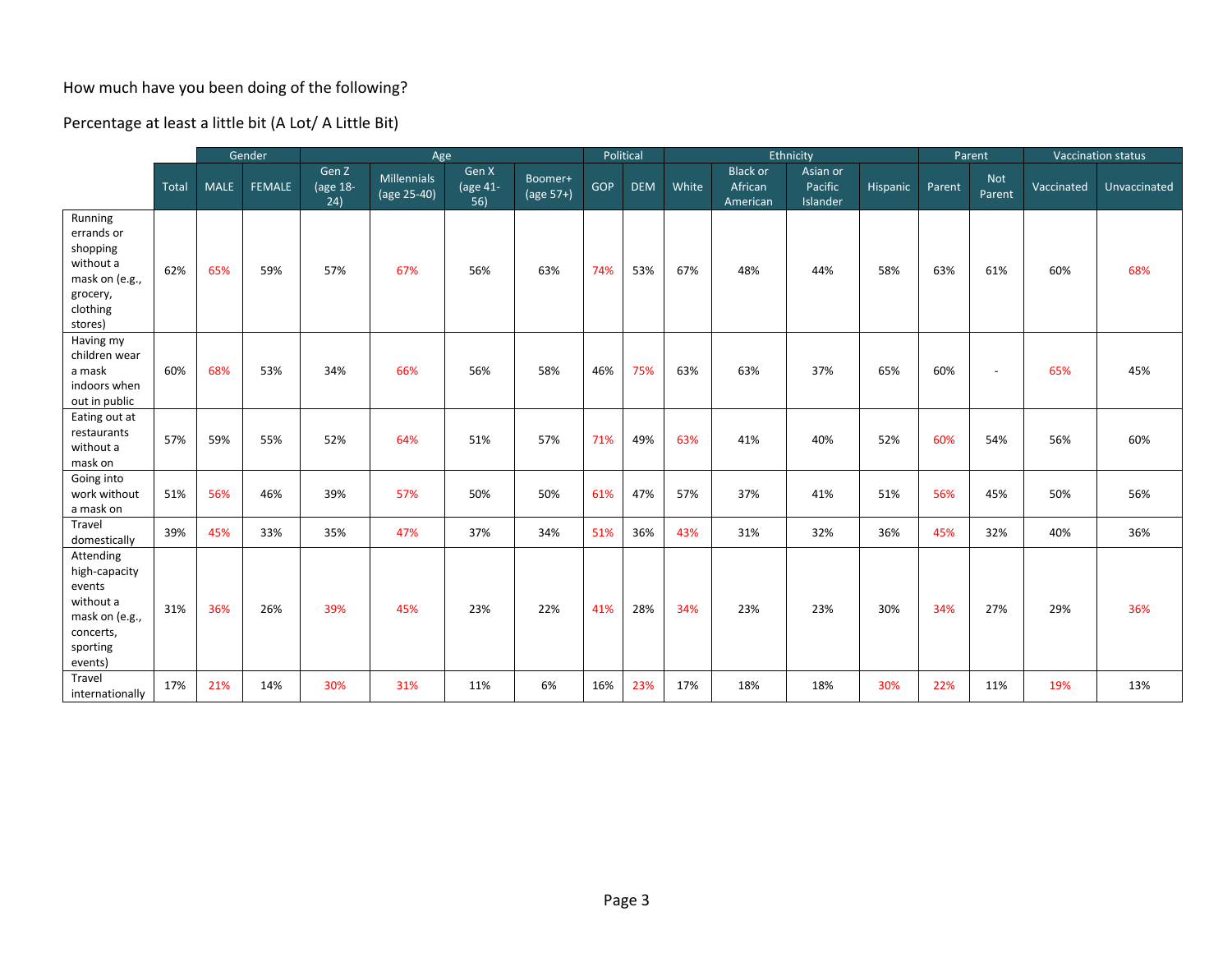## How much have you been doing of the following?

Percentage at least a little bit (A Lot/ A Little Bit)

|                                                                                                         |       | Gender      |               | Age                      |                                   |                                        |                      | Political |            | Ethnicity |                                        |                                 |          | Parent |                      | Vaccination status |              |
|---------------------------------------------------------------------------------------------------------|-------|-------------|---------------|--------------------------|-----------------------------------|----------------------------------------|----------------------|-----------|------------|-----------|----------------------------------------|---------------------------------|----------|--------|----------------------|--------------------|--------------|
|                                                                                                         | Total | <b>MALE</b> | <b>FEMALE</b> | Gen Z<br>(age 18-<br>24) | <b>Millennials</b><br>(age 25-40) | Gen X<br>$\sqrt{\text{age 41}}$<br>56) | Boomer+<br>(age 57+) | GOP       | <b>DEM</b> | White     | <b>Black or</b><br>African<br>American | Asian or<br>Pacific<br>Islander | Hispanic | Parent | <b>Not</b><br>Parent | <b>Vaccinated</b>  | Unvaccinated |
| Running<br>errands or<br>shopping<br>without a<br>mask on (e.g.,<br>grocery,<br>clothing<br>stores)     | 62%   | 65%         | 59%           | 57%                      | 67%                               | 56%                                    | 63%                  | 74%       | 53%        | 67%       | 48%                                    | 44%                             | 58%      | 63%    | 61%                  | 60%                | 68%          |
| Having my<br>children wear<br>a mask<br>indoors when<br>out in public                                   | 60%   | 68%         | 53%           | 34%                      | 66%                               | 56%                                    | 58%                  | 46%       | 75%        | 63%       | 63%                                    | 37%                             | 65%      | 60%    | $\sim$               | 65%                | 45%          |
| Eating out at<br>restaurants<br>without a<br>mask on                                                    | 57%   | 59%         | 55%           | 52%                      | 64%                               | 51%                                    | 57%                  | 71%       | 49%        | 63%       | 41%                                    | 40%                             | 52%      | 60%    | 54%                  | 56%                | 60%          |
| Going into<br>work without<br>a mask on                                                                 | 51%   | 56%         | 46%           | 39%                      | 57%                               | 50%                                    | 50%                  | 61%       | 47%        | 57%       | 37%                                    | 41%                             | 51%      | 56%    | 45%                  | 50%                | 56%          |
| Travel<br>domestically                                                                                  | 39%   | 45%         | 33%           | 35%                      | 47%                               | 37%                                    | 34%                  | 51%       | 36%        | 43%       | 31%                                    | 32%                             | 36%      | 45%    | 32%                  | 40%                | 36%          |
| Attending<br>high-capacity<br>events<br>without a<br>mask on (e.g.,<br>concerts,<br>sporting<br>events) | 31%   | 36%         | 26%           | 39%                      | 45%                               | 23%                                    | 22%                  | 41%       | 28%        | 34%       | 23%                                    | 23%                             | 30%      | 34%    | 27%                  | 29%                | 36%          |
| Travel<br>internationally                                                                               | 17%   | 21%         | 14%           | 30%                      | 31%                               | 11%                                    | 6%                   | 16%       | 23%        | 17%       | 18%                                    | 18%                             | 30%      | 22%    | 11%                  | 19%                | 13%          |